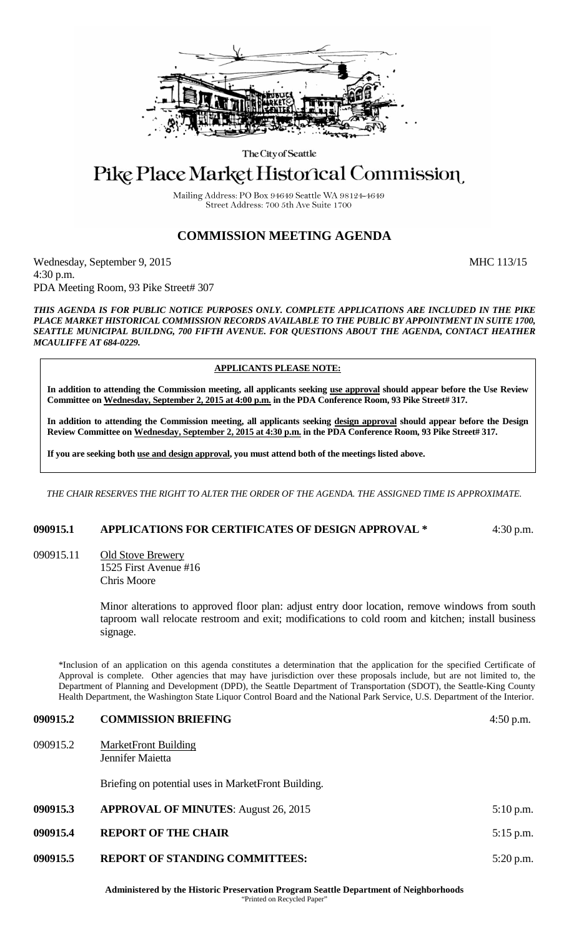

The City of Seattle

# Pike Place Market Historical Commission

Mailing Address: PO Box 94649 Seattle WA 98124-4649 Street Address: 700 5th Ave Suite 1700

# **COMMISSION MEETING AGENDA**

Wednesday, September 9, 2015 MHC 113/15 4:30 p.m. PDA Meeting Room, 93 Pike Street# 307

*THIS AGENDA IS FOR PUBLIC NOTICE PURPOSES ONLY. COMPLETE APPLICATIONS ARE INCLUDED IN THE PIKE PLACE MARKET HISTORICAL COMMISSION RECORDS AVAILABLE TO THE PUBLIC BY APPOINTMENT IN SUITE 1700, SEATTLE MUNICIPAL BUILDNG, 700 FIFTH AVENUE. FOR QUESTIONS ABOUT THE AGENDA, CONTACT HEATHER MCAULIFFE AT 684-0229.*

#### **APPLICANTS PLEASE NOTE:**

**In addition to attending the Commission meeting, all applicants seeking use approval should appear before the Use Review Committee on Wednesday, September 2, 2015 at 4:00 p.m. in the PDA Conference Room, 93 Pike Street# 317.**

**In addition to attending the Commission meeting, all applicants seeking design approval should appear before the Design Review Committee on Wednesday, September 2, 2015 at 4:30 p.m. in the PDA Conference Room, 93 Pike Street# 317.** 

**If you are seeking both use and design approval, you must attend both of the meetings listed above.**

*THE CHAIR RESERVES THE RIGHT TO ALTER THE ORDER OF THE AGENDA. THE ASSIGNED TIME IS APPROXIMATE.*

## **090915.1 APPLICATIONS FOR CERTIFICATES OF DESIGN APPROVAL \*** 4:30 p.m.

090915.11 Old Stove Brewery 1525 First Avenue #16 Chris Moore

> Minor alterations to approved floor plan: adjust entry door location, remove windows from south taproom wall relocate restroom and exit; modifications to cold room and kitchen; install business signage.

\*Inclusion of an application on this agenda constitutes a determination that the application for the specified Certificate of Approval is complete. Other agencies that may have jurisdiction over these proposals include, but are not limited to, the Department of Planning and Development (DPD), the Seattle Department of Transportation (SDOT), the Seattle-King County Health Department, the Washington State Liquor Control Board and the National Park Service, U.S. Department of the Interior.

## **090915.2 COMMISSION BRIEFING** 4:50 p.m.

090915.2 MarketFront Building Jennifer Maietta

Briefing on potential uses in MarketFront Building.

| 090915.3 | <b>APPROVAL OF MINUTES:</b> August 26, 2015 | $5:10$ p.m. |
|----------|---------------------------------------------|-------------|
| 090915.4 | <b>REPORT OF THE CHAIR</b>                  | $5:15$ p.m. |
| 090915.5 | <b>REPORT OF STANDING COMMITTEES:</b>       | $5:20$ p.m. |

**Administered by the Historic Preservation Program Seattle Department of Neighborhoods** "Printed on Recycled Paper"